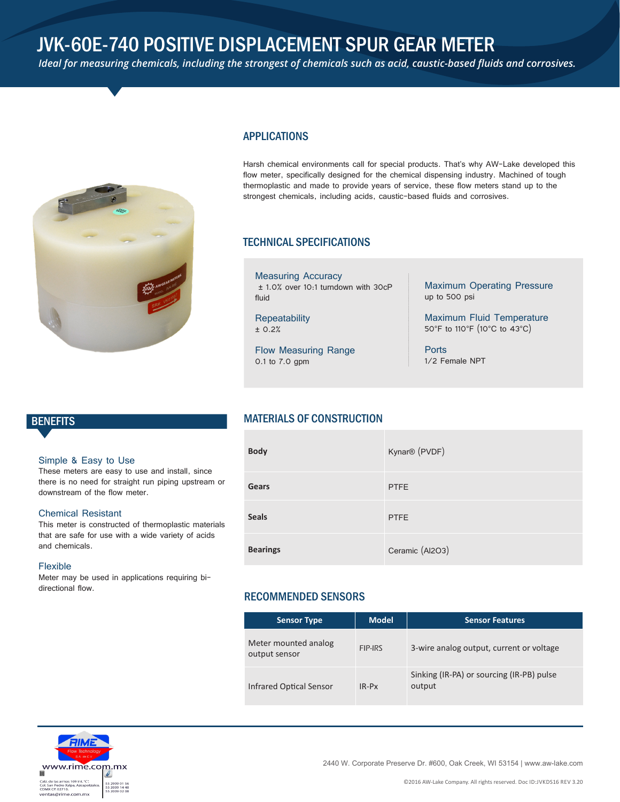# JVK-60E-740 POSITIVE DISPLACEMENT SPUR GEAR METER

*Ideal for measuring chemicals, including the strongest of chemicals such as acid, caustic-based fluids and corrosives.*



# APPLICATIONS

Harsh chemical environments call for special products. That's why AW-Lake developed this flow meter, specifically designed for the chemical dispensing industry. Machined of tough thermoplastic and made to provide years of service, these flow meters stand up to the strongest chemicals, including acids, caustic-based fluids and corrosives.

### TECHNICAL SPECIFICATIONS

Measuring Accuracy ± 1.0% over 10:1 turndown with 30cP fluid

**Repeatability** ± 0.2%

Flow Measuring Range 0.1 to 7.0 gpm

Maximum Operating Pressure up to 500 psi

Maximum Fluid Temperature 50°F to 110°F (10°C to 43°C)

**Ports** 1/2 Female NPT

#### Simple & Easy to Use

These meters are easy to use and install, since there is no need for straight run piping upstream or downstream of the flow meter.

### Chemical Resistant

This meter is constructed of thermoplastic materials that are safe for use with a wide variety of acids and chemicals.

#### Flexible

Meter may be used in applications requiring bidirectional flow.

# BENEFITS MATERIALS OF CONSTRUCTION

| <b>Body</b>     | Kynar® (PVDF)   |
|-----------------|-----------------|
| Gears           | <b>PTFE</b>     |
| <b>Seals</b>    | <b>PTFE</b>     |
| <b>Bearings</b> | Ceramic (AI2O3) |

# RECOMMENDED SENSORS

| <b>Sensor Type</b>                    | <b>Model</b> | <b>Sensor Features</b>                              |  |  |  |  |
|---------------------------------------|--------------|-----------------------------------------------------|--|--|--|--|
| Meter mounted analog<br>output sensor | FIP-IRS      | 3-wire analog output, current or voltage            |  |  |  |  |
| <b>Infrared Optical Sensor</b>        | $IR-PX$      | Sinking (IR-PA) or sourcing (IR-PB) pulse<br>output |  |  |  |  |



2440 W. Corporate Preserve Dr. #600, Oak Creek, WI 53154 | www.aw-lake.com